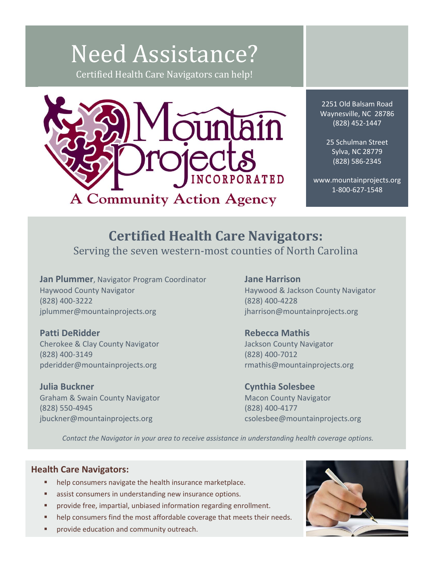## Need Assistance? Certified Health Care Navigators can help!



2251 Old Balsam Road Waynesville, NC 28786 (828) 452-1447

25 Schulman Street Sylva, NC 28779 (828) 586-2345

www.mountainprojects.org 1-800-627-1548

## **Certified Health Care Navigators:** Serving the seven western-most counties of North Carolina

**Jan Plummer**, Navigator Program Coordinator Haywood County Navigator (828) 400-3222 jplummer@mountainprojects.org

**Patti DeRidder** Cherokee & Clay County Navigator (828) 400-3149 pderidder@mountainprojects.org

**Julia Buckner** Graham & Swain County Navigator (828) 550-4945 jbuckner@mountainprojects.org

**Jane Harrison** Haywood & Jackson County Navigator (828) 400-4228 jharrison@mountainprojects.org

**Rebecca Mathis** Jackson County Navigator (828) 400-7012 rmathis@mountainprojects.org

**Cynthia Solesbee** Macon County Navigator (828) 400-4177 csolesbee@mountainprojects.org

*Contact the Navigator in your area to receive assistance in understanding health coverage options.*

## **Health Care Navigators:**

- help consumers navigate the health insurance marketplace.
- **EXECUTE:** assist consumers in understanding new insurance options.
- **Phoroprovide free, impartial, unbiased information regarding enrollment.**
- help consumers find the most affordable coverage that meets their needs.
- provide education and community outreach.